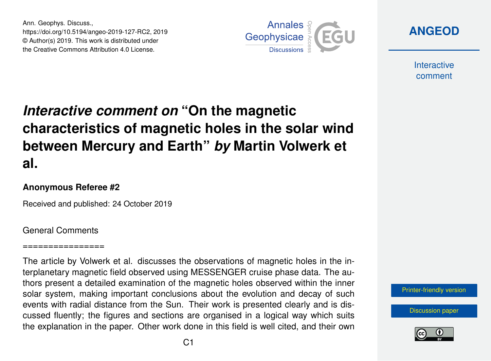Ann. Geophys. Discuss., https://doi.org/10.5194/angeo-2019-127-RC2, 2019 © Author(s) 2019. This work is distributed under the Creative Commons Attribution 4.0 License.



**[ANGEOD](https://www.ann-geophys-discuss.net/)**

**Interactive** comment

# *Interactive comment on* **"On the magnetic characteristics of magnetic holes in the solar wind between Mercury and Earth"** *by* **Martin Volwerk et al.**

### **Anonymous Referee #2**

Received and published: 24 October 2019

### General Comments

#### ==============

The article by Volwerk et al. discusses the observations of magnetic holes in the interplanetary magnetic field observed using MESSENGER cruise phase data. The authors present a detailed examination of the magnetic holes observed within the inner solar system, making important conclusions about the evolution and decay of such events with radial distance from the Sun. Their work is presented clearly and is discussed fluently; the figures and sections are organised in a logical way which suits the explanation in the paper. Other work done in this field is well cited, and their own



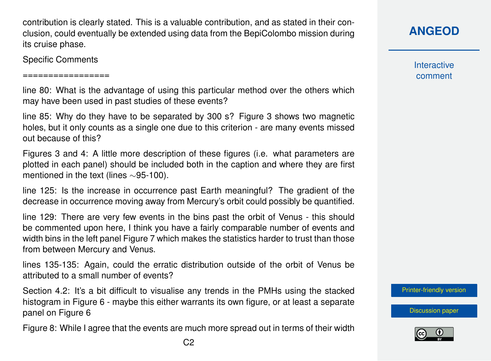contribution is clearly stated. This is a valuable contribution, and as stated in their conclusion, could eventually be extended using data from the BepiColombo mission during its cruise phase.

Specific Comments

=================

line 80: What is the advantage of using this particular method over the others which may have been used in past studies of these events?

line 85: Why do they have to be separated by 300 s? Figure 3 shows two magnetic holes, but it only counts as a single one due to this criterion - are many events missed out because of this?

Figures 3 and 4: A little more description of these figures (i.e. what parameters are plotted in each panel) should be included both in the caption and where they are first mentioned in the text (lines ∼95-100).

line 125: Is the increase in occurrence past Earth meaningful? The gradient of the decrease in occurrence moving away from Mercury's orbit could possibly be quantified.

line 129: There are very few events in the bins past the orbit of Venus - this should be commented upon here, I think you have a fairly comparable number of events and width bins in the left panel Figure 7 which makes the statistics harder to trust than those from between Mercury and Venus.

lines 135-135: Again, could the erratic distribution outside of the orbit of Venus be attributed to a small number of events?

Section 4.2: It's a bit difficult to visualise any trends in the PMHs using the stacked histogram in Figure 6 - maybe this either warrants its own figure, or at least a separate panel on Figure 6

Figure 8: While I agree that the events are much more spread out in terms of their width

**Interactive** comment

[Printer-friendly version](https://www.ann-geophys-discuss.net/angeo-2019-127/angeo-2019-127-RC2-print.pdf)

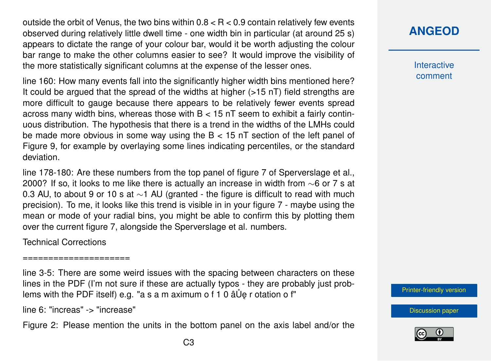outside the orbit of Venus, the two bins within  $0.8 < R < 0.9$  contain relatively few events observed during relatively little dwell time - one width bin in particular (at around 25 s) appears to dictate the range of your colour bar, would it be worth adjusting the colour bar range to make the other columns easier to see? It would improve the visibility of the more statistically significant columns at the expense of the lesser ones.

line 160: How many events fall into the significantly higher width bins mentioned here? It could be argued that the spread of the widths at higher (>15 nT) field strengths are more difficult to gauge because there appears to be relatively fewer events spread across many width bins, whereas those with  $B < 15$  nT seem to exhibit a fairly continuous distribution. The hypothesis that there is a trend in the widths of the LMHs could be made more obvious in some way using the B < 15 nT section of the left panel of Figure 9, for example by overlaying some lines indicating percentiles, or the standard deviation.

line 178-180: Are these numbers from the top panel of figure 7 of Sperverslage et al., 2000? If so, it looks to me like there is actually an increase in width from ∼6 or 7 s at 0.3 AU, to about 9 or 10 s at ∼1 AU (granted - the figure is difficult to read with much precision). To me, it looks like this trend is visible in in your figure 7 - maybe using the mean or mode of your radial bins, you might be able to confirm this by plotting them over the current figure 7, alongside the Sperverslage et al. numbers.

Technical Corrections

=====================

line 3-5: There are some weird issues with the spacing between characters on these lines in the PDF (I'm not sure if these are actually typos - they are probably just problems with the PDF itself) e.g. "a s a m aximum o f 1 0  $\hat{a} \hat{U}$ e r otation o f"

line 6: "increas" -> "increase"

Figure 2: Please mention the units in the bottom panel on the axis label and/or the

**Interactive** comment

[Printer-friendly version](https://www.ann-geophys-discuss.net/angeo-2019-127/angeo-2019-127-RC2-print.pdf)